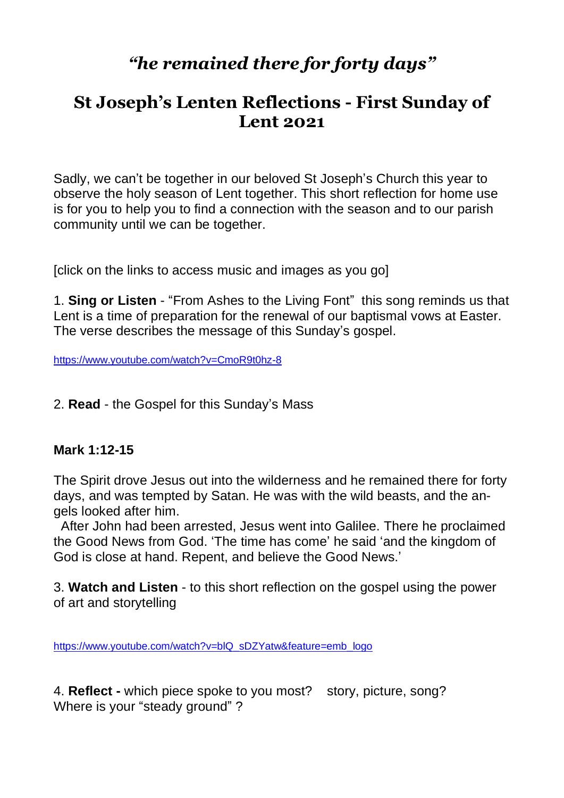# *"he remained there for forty days"*

## **St Joseph's Lenten Reflections - First Sunday of Lent 2021**

Sadly, we can't be together in our beloved St Joseph's Church this year to observe the holy season of Lent together. This short reflection for home use is for you to help you to find a connection with the season and to our parish community until we can be together.

[click on the links to access music and images as you go]

1. **Sing or Listen** - "From Ashes to the Living Font" this song reminds us that Lent is a time of preparation for the renewal of our baptismal vows at Easter. The verse describes the message of this Sunday's gospel.

<https://www.youtube.com/watch?v=CmoR9t0hz-8>

2. **Read** - the Gospel for this Sunday's Mass

#### **Mark 1:12-15**

The Spirit drove Jesus out into the wilderness and he remained there for forty days, and was tempted by Satan. He was with the wild beasts, and the angels looked after him.

 After John had been arrested, Jesus went into Galilee. There he proclaimed the Good News from God. 'The time has come' he said 'and the kingdom of God is close at hand. Repent, and believe the Good News.'

3. **Watch and Listen** - to this short reflection on the gospel using the power of art and storytelling

[https://www.youtube.com/watch?v=blQ\\_sDZYatw&feature=emb\\_logo](https://www.youtube.com/watch?v=blQ_sDZYatw&feature=emb_logo)

4. **Reflect -** which piece spoke to you most? story, picture, song? Where is your "steady ground"?